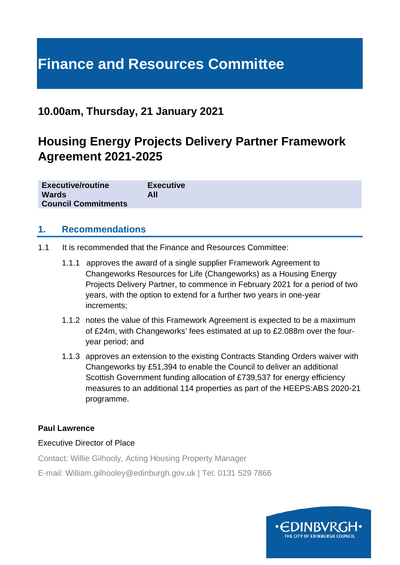# **Finance and Resources Committee**

### **10.00am, Thursday, 21 January 2021**

# **Housing Energy Projects Delivery Partner Framework Agreement 2021-2025**

| <b>Executive/routine</b><br><b>Wards</b><br><b>Council Commitments</b> | <b>Executive</b><br>All |  |  |
|------------------------------------------------------------------------|-------------------------|--|--|
|                                                                        |                         |  |  |

#### **1. Recommendations**

- 1.1 It is recommended that the Finance and Resources Committee:
	- 1.1.1 approves the award of a single supplier Framework Agreement to Changeworks Resources for Life (Changeworks) as a Housing Energy Projects Delivery Partner, to commence in February 2021 for a period of two years, with the option to extend for a further two years in one-year increments;
	- 1.1.2 notes the value of this Framework Agreement is expected to be a maximum of £24m, with Changeworks' fees estimated at up to £2.088m over the fouryear period; and
	- 1.1.3 approves an extension to the existing Contracts Standing Orders waiver with Changeworks by £51,394 to enable the Council to deliver an additional Scottish Government funding allocation of £739,537 for energy efficiency measures to an additional 114 properties as part of the HEEPS:ABS 2020-21 programme.

#### **Paul Lawrence**

#### Executive Director of Place

Contact: Willie Gilhooly, Acting Housing Property Manager

E-mail: William.gilhooley@edinburgh.gov.uk | Tel: 0131 529 7866

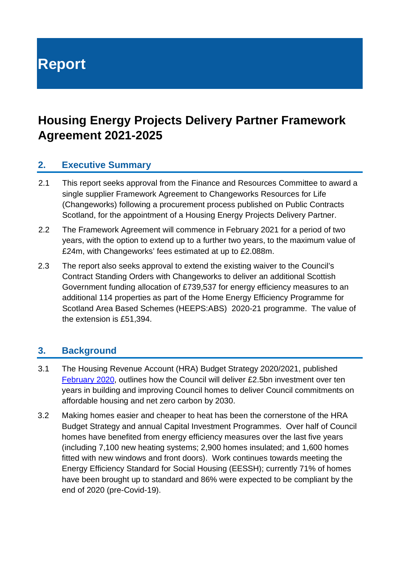**Report**

# **Housing Energy Projects Delivery Partner Framework Agreement 2021-2025**

#### **2. Executive Summary**

- 2.1 This report seeks approval from the Finance and Resources Committee to award a single supplier Framework Agreement to Changeworks Resources for Life (Changeworks) following a procurement process published on Public Contracts Scotland, for the appointment of a Housing Energy Projects Delivery Partner.
- 2.2 The Framework Agreement will commence in February 2021 for a period of two years, with the option to extend up to a further two years, to the maximum value of £24m, with Changeworks' fees estimated at up to £2.088m.
- 2.3 The report also seeks approval to extend the existing waiver to the Council's Contract Standing Orders with Changeworks to deliver an additional Scottish Government funding allocation of £739,537 for energy efficiency measures to an additional 114 properties as part of the Home Energy Efficiency Programme for Scotland Area Based Schemes (HEEPS:ABS) 2020-21 programme. The value of the extension is £51,394.

#### **3. Background**

- 3.1 The Housing Revenue Account (HRA) Budget Strategy 2020/2021, published [February 2020,](https://democracy.edinburgh.gov.uk/documents/s14097/Item%204.1d%20-%20Housing%20Revenue%20Account%20HRA%20Budget%20Strategy%20-%20Referral%20from%20FR.pdf) outlines how the Council will deliver £2.5bn investment over ten years in building and improving Council homes to deliver Council commitments on affordable housing and net zero carbon by 2030.
- 3.2 Making homes easier and cheaper to heat has been the cornerstone of the HRA Budget Strategy and annual Capital Investment Programmes. Over half of Council homes have benefited from energy efficiency measures over the last five years (including 7,100 new heating systems; 2,900 homes insulated; and 1,600 homes fitted with new windows and front doors). Work continues towards meeting the Energy Efficiency Standard for Social Housing (EESSH); currently 71% of homes have been brought up to standard and 86% were expected to be compliant by the end of 2020 (pre-Covid-19).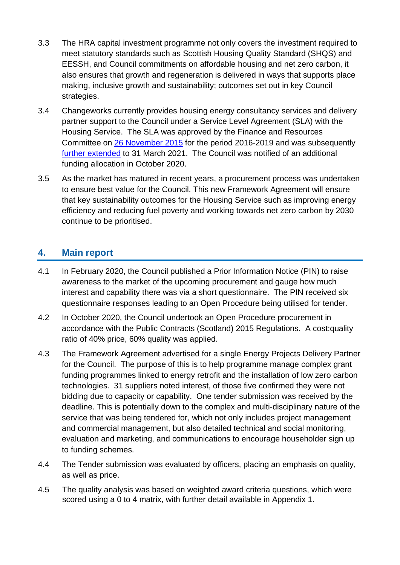- 3.3 The HRA capital investment programme not only covers the investment required to meet statutory standards such as Scottish Housing Quality Standard (SHQS) and EESSH, and Council commitments on affordable housing and net zero carbon, it also ensures that growth and regeneration is delivered in ways that supports place making, inclusive growth and sustainability; outcomes set out in key Council strategies.
- 3.4 Changeworks currently provides housing energy consultancy services and delivery partner support to the Council under a Service Level Agreement (SLA) with the Housing Service. The SLA was approved by the Finance and Resources Committee on [26 November 2015](https://democracy.edinburgh.gov.uk/CeListDocuments.aspx?CommitteeId=140&MeetingId=2284&DF=26%2f11%2f2015&Ver=2) for the period 2016-2019 and was subsequently [further extended](https://democracy.edinburgh.gov.uk/documents/s25598/7.12%20-%20Home%20Energy%20Efficiency%20Programme%20Enabling%20Support.pdf) to 31 March 2021. The Council was notified of an additional funding allocation in October 2020.
- 3.5 As the market has matured in recent years, a procurement process was undertaken to ensure best value for the Council. This new Framework Agreement will ensure that key sustainability outcomes for the Housing Service such as improving energy efficiency and reducing fuel poverty and working towards net zero carbon by 2030 continue to be prioritised.

#### **4. Main report**

- 4.1 In February 2020, the Council published a Prior Information Notice (PIN) to raise awareness to the market of the upcoming procurement and gauge how much interest and capability there was via a short questionnaire. The PIN received six questionnaire responses leading to an Open Procedure being utilised for tender.
- 4.2 In October 2020, the Council undertook an Open Procedure procurement in accordance with the Public Contracts (Scotland) 2015 Regulations. A cost:quality ratio of 40% price, 60% quality was applied.
- 4.3 The Framework Agreement advertised for a single Energy Projects Delivery Partner for the Council. The purpose of this is to help programme manage complex grant funding programmes linked to energy retrofit and the installation of low zero carbon technologies. 31 suppliers noted interest, of those five confirmed they were not bidding due to capacity or capability. One tender submission was received by the deadline. This is potentially down to the complex and multi-disciplinary nature of the service that was being tendered for, which not only includes project management and commercial management, but also detailed technical and social monitoring, evaluation and marketing, and communications to encourage householder sign up to funding schemes.
- 4.4 The Tender submission was evaluated by officers, placing an emphasis on quality, as well as price.
- 4.5 The quality analysis was based on weighted award criteria questions, which were scored using a 0 to 4 matrix, with further detail available in Appendix 1.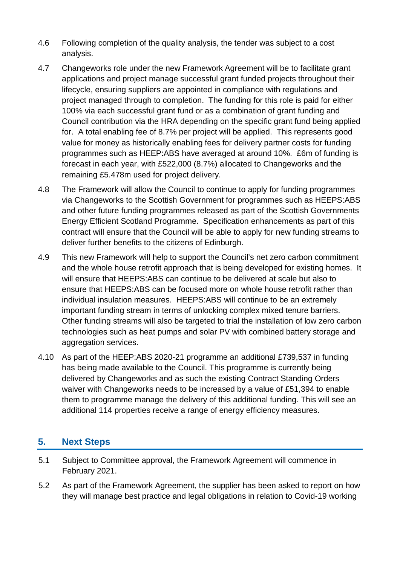- 4.6 Following completion of the quality analysis, the tender was subject to a cost analysis.
- 4.7 Changeworks role under the new Framework Agreement will be to facilitate grant applications and project manage successful grant funded projects throughout their lifecycle, ensuring suppliers are appointed in compliance with regulations and project managed through to completion. The funding for this role is paid for either 100% via each successful grant fund or as a combination of grant funding and Council contribution via the HRA depending on the specific grant fund being applied for. A total enabling fee of 8.7% per project will be applied. This represents good value for money as historically enabling fees for delivery partner costs for funding programmes such as HEEP:ABS have averaged at around 10%. £6m of funding is forecast in each year, with £522,000 (8.7%) allocated to Changeworks and the remaining £5.478m used for project delivery.
- 4.8 The Framework will allow the Council to continue to apply for funding programmes via Changeworks to the Scottish Government for programmes such as HEEPS:ABS and other future funding programmes released as part of the Scottish Governments Energy Efficient Scotland Programme. Specification enhancements as part of this contract will ensure that the Council will be able to apply for new funding streams to deliver further benefits to the citizens of Edinburgh.
- 4.9 This new Framework will help to support the Council's net zero carbon commitment and the whole house retrofit approach that is being developed for existing homes. It will ensure that HEEPS:ABS can continue to be delivered at scale but also to ensure that HEEPS:ABS can be focused more on whole house retrofit rather than individual insulation measures. HEEPS:ABS will continue to be an extremely important funding stream in terms of unlocking complex mixed tenure barriers. Other funding streams will also be targeted to trial the installation of low zero carbon technologies such as heat pumps and solar PV with combined battery storage and aggregation services.
- 4.10 As part of the HEEP:ABS 2020-21 programme an additional £739,537 in funding has being made available to the Council. This programme is currently being delivered by Changeworks and as such the existing Contract Standing Orders waiver with Changeworks needs to be increased by a value of £51,394 to enable them to programme manage the delivery of this additional funding. This will see an additional 114 properties receive a range of energy efficiency measures.

#### **5. Next Steps**

- 5.1 Subject to Committee approval, the Framework Agreement will commence in February 2021.
- 5.2 As part of the Framework Agreement, the supplier has been asked to report on how they will manage best practice and legal obligations in relation to Covid-19 working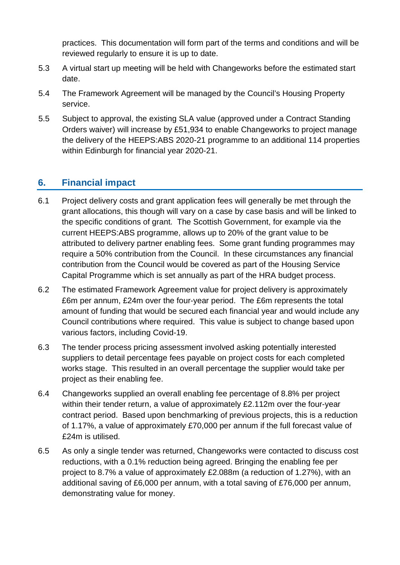practices. This documentation will form part of the terms and conditions and will be reviewed regularly to ensure it is up to date.

- 5.3 A virtual start up meeting will be held with Changeworks before the estimated start date.
- 5.4 The Framework Agreement will be managed by the Council's Housing Property service.
- 5.5 Subject to approval, the existing SLA value (approved under a Contract Standing Orders waiver) will increase by £51,934 to enable Changeworks to project manage the delivery of the HEEPS:ABS 2020-21 programme to an additional 114 properties within Edinburgh for financial year 2020-21.

#### **6. Financial impact**

- 6.1 Project delivery costs and grant application fees will generally be met through the grant allocations, this though will vary on a case by case basis and will be linked to the specific conditions of grant. The Scottish Government, for example via the current HEEPS:ABS programme, allows up to 20% of the grant value to be attributed to delivery partner enabling fees. Some grant funding programmes may require a 50% contribution from the Council. In these circumstances any financial contribution from the Council would be covered as part of the Housing Service Capital Programme which is set annually as part of the HRA budget process.
- 6.2 The estimated Framework Agreement value for project delivery is approximately £6m per annum, £24m over the four-year period. The £6m represents the total amount of funding that would be secured each financial year and would include any Council contributions where required. This value is subject to change based upon various factors, including Covid-19.
- 6.3 The tender process pricing assessment involved asking potentially interested suppliers to detail percentage fees payable on project costs for each completed works stage. This resulted in an overall percentage the supplier would take per project as their enabling fee.
- 6.4 Changeworks supplied an overall enabling fee percentage of 8.8% per project within their tender return, a value of approximately £2.112m over the four-year contract period. Based upon benchmarking of previous projects, this is a reduction of 1.17%, a value of approximately £70,000 per annum if the full forecast value of £24m is utilised.
- 6.5 As only a single tender was returned, Changeworks were contacted to discuss cost reductions, with a 0.1% reduction being agreed. Bringing the enabling fee per project to 8.7% a value of approximately £2.088m (a reduction of 1.27%), with an additional saving of £6,000 per annum, with a total saving of £76,000 per annum, demonstrating value for money.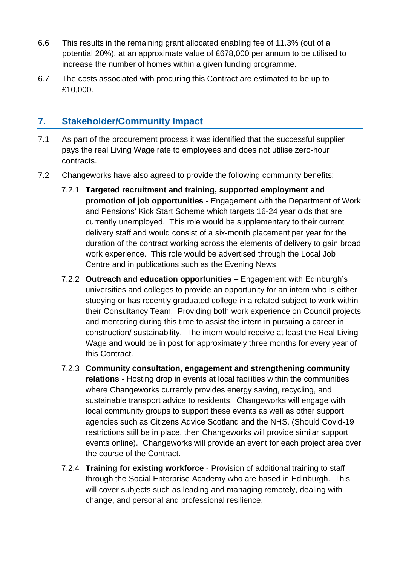- 6.6 This results in the remaining grant allocated enabling fee of 11.3% (out of a potential 20%), at an approximate value of £678,000 per annum to be utilised to increase the number of homes within a given funding programme.
- 6.7 The costs associated with procuring this Contract are estimated to be up to £10,000.

#### **7. Stakeholder/Community Impact**

- 7.1 As part of the procurement process it was identified that the successful supplier pays the real Living Wage rate to employees and does not utilise zero-hour contracts.
- 7.2 Changeworks have also agreed to provide the following community benefits:
	- 7.2.1 **Targeted recruitment and training, supported employment and promotion of job opportunities** - Engagement with the Department of Work and Pensions' Kick Start Scheme which targets 16-24 year olds that are currently unemployed. This role would be supplementary to their current delivery staff and would consist of a six-month placement per year for the duration of the contract working across the elements of delivery to gain broad work experience. This role would be advertised through the Local Job Centre and in publications such as the Evening News.
	- 7.2.2 **Outreach and education opportunities**  Engagement with Edinburgh's universities and colleges to provide an opportunity for an intern who is either studying or has recently graduated college in a related subject to work within their Consultancy Team. Providing both work experience on Council projects and mentoring during this time to assist the intern in pursuing a career in construction/ sustainability. The intern would receive at least the Real Living Wage and would be in post for approximately three months for every year of this Contract.
	- 7.2.3 **Community consultation, engagement and strengthening community relations** - Hosting drop in events at local facilities within the communities where Changeworks currently provides energy saving, recycling, and sustainable transport advice to residents. Changeworks will engage with local community groups to support these events as well as other support agencies such as Citizens Advice Scotland and the NHS. (Should Covid-19 restrictions still be in place, then Changeworks will provide similar support events online). Changeworks will provide an event for each project area over the course of the Contract.
	- 7.2.4 **Training for existing workforce** Provision of additional training to staff through the Social Enterprise Academy who are based in Edinburgh. This will cover subjects such as leading and managing remotely, dealing with change, and personal and professional resilience.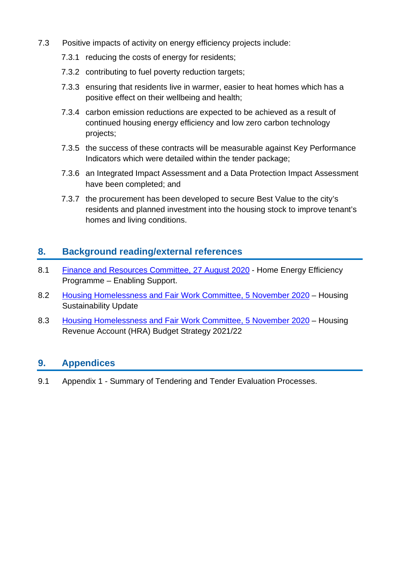- 7.3 Positive impacts of activity on energy efficiency projects include:
	- 7.3.1 reducing the costs of energy for residents;
	- 7.3.2 contributing to fuel poverty reduction targets;
	- 7.3.3 ensuring that residents live in warmer, easier to heat homes which has a positive effect on their wellbeing and health;
	- 7.3.4 carbon emission reductions are expected to be achieved as a result of continued housing energy efficiency and low zero carbon technology projects;
	- 7.3.5 the success of these contracts will be measurable against Key Performance Indicators which were detailed within the tender package;
	- 7.3.6 an Integrated Impact Assessment and a Data Protection Impact Assessment have been completed; and
	- 7.3.7 the procurement has been developed to secure Best Value to the city's residents and planned investment into the housing stock to improve tenant's homes and living conditions.

#### **8. Background reading/external references**

- 8.1 [Finance and Resources Committee, 27 August 2020](https://democracy.edinburgh.gov.uk/ieListDocuments.aspx?CId=140&MId=5557&Ver=4) Home Energy Efficiency Programme – Enabling Support.
- 8.2 [Housing Homelessness and Fair Work Committee, 5 November 2020](https://democracy.edinburgh.gov.uk/ieListDocuments.aspx?CId=141&MId=5690&Ver=4) Housing Sustainability Update
- 8.3 [Housing Homelessness and Fair Work Committee, 5 November 2020](https://democracy.edinburgh.gov.uk/ieListDocuments.aspx?CId=141&MId=5690&Ver=4) Housing Revenue Account (HRA) Budget Strategy 2021/22

#### **9. Appendices**

9.1 Appendix 1 - Summary of Tendering and Tender Evaluation Processes.